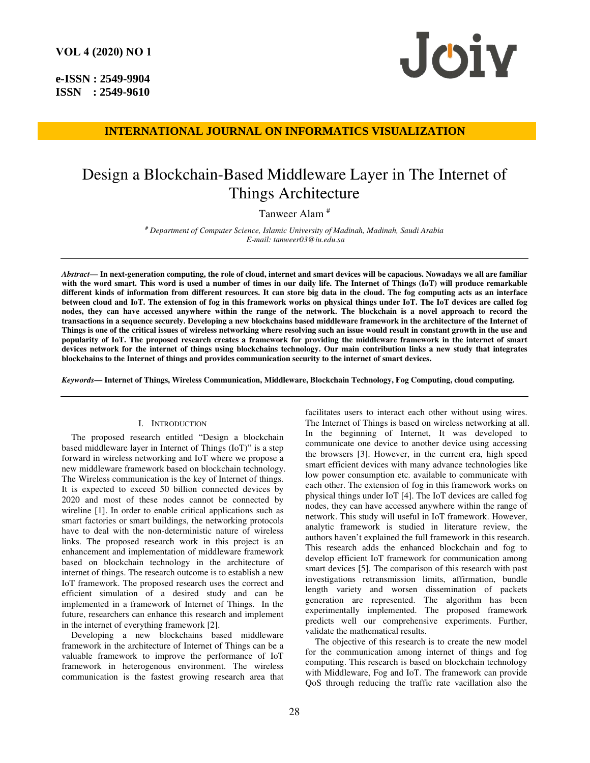**e-ISSN : 2549-9904 ISSN : 2549-9610** 



# **INTERNATIONAL JOURNAL ON INFORMATICS VISUALIZATION**

# Design a Blockchain-Based Middleware Layer in The Internet of Things Architecture

# Tanweer Alam #

*# Department of Computer Science, Islamic University of Madinah, Madinah, Saudi Arabia E-mail: tanweer03@iu.edu.sa* 

*Abstract***— In next-generation computing, the role of cloud, internet and smart devices will be capacious. Nowadays we all are familiar**  with the word smart. This word is used a number of times in our daily life. The Internet of Things (IoT) will produce remarkable **different kinds of information from different resources. It can store big data in the cloud. The fog computing acts as an interface between cloud and IoT. The extension of fog in this framework works on physical things under IoT. The IoT devices are called fog nodes, they can have accessed anywhere within the range of the network. The blockchain is a novel approach to record the transactions in a sequence securely. Developing a new blockchains based middleware framework in the architecture of the Internet of Things is one of the critical issues of wireless networking where resolving such an issue would result in constant growth in the use and popularity of IoT. The proposed research creates a framework for providing the middleware framework in the internet of smart devices network for the internet of things using blockchains technology. Our main contribution links a new study that integrates blockchains to the Internet of things and provides communication security to the internet of smart devices.** 

*Keywords***— Internet of Things, Wireless Communication, Middleware, Blockchain Technology, Fog Computing, cloud computing.** 

## I. INTRODUCTION

The proposed research entitled "Design a blockchain based middleware layer in Internet of Things (IoT)" is a step forward in wireless networking and IoT where we propose a new middleware framework based on blockchain technology. The Wireless communication is the key of Internet of things. It is expected to exceed 50 billion connected devices by 2020 and most of these nodes cannot be connected by wireline [1]. In order to enable critical applications such as smart factories or smart buildings, the networking protocols have to deal with the non-deterministic nature of wireless links. The proposed research work in this project is an enhancement and implementation of middleware framework based on blockchain technology in the architecture of internet of things. The research outcome is to establish a new IoT framework. The proposed research uses the correct and efficient simulation of a desired study and can be implemented in a framework of Internet of Things. In the future, researchers can enhance this research and implement in the internet of everything framework [2].

Developing a new blockchains based middleware framework in the architecture of Internet of Things can be a valuable framework to improve the performance of IoT framework in heterogenous environment. The wireless communication is the fastest growing research area that

facilitates users to interact each other without using wires. The Internet of Things is based on wireless networking at all. In the beginning of Internet, It was developed to communicate one device to another device using accessing the browsers [3]. However, in the current era, high speed smart efficient devices with many advance technologies like low power consumption etc. available to communicate with each other. The extension of fog in this framework works on physical things under IoT [4]. The IoT devices are called fog nodes, they can have accessed anywhere within the range of network. This study will useful in IoT framework. However, analytic framework is studied in literature review, the authors haven't explained the full framework in this research. This research adds the enhanced blockchain and fog to develop efficient IoT framework for communication among smart devices [5]. The comparison of this research with past investigations retransmission limits, affirmation, bundle length variety and worsen dissemination of packets generation are represented. The algorithm has been experimentally implemented. The proposed framework predicts well our comprehensive experiments. Further, validate the mathematical results.

The objective of this research is to create the new model for the communication among internet of things and fog computing. This research is based on blockchain technology with Middleware, Fog and IoT. The framework can provide QoS through reducing the traffic rate vacillation also the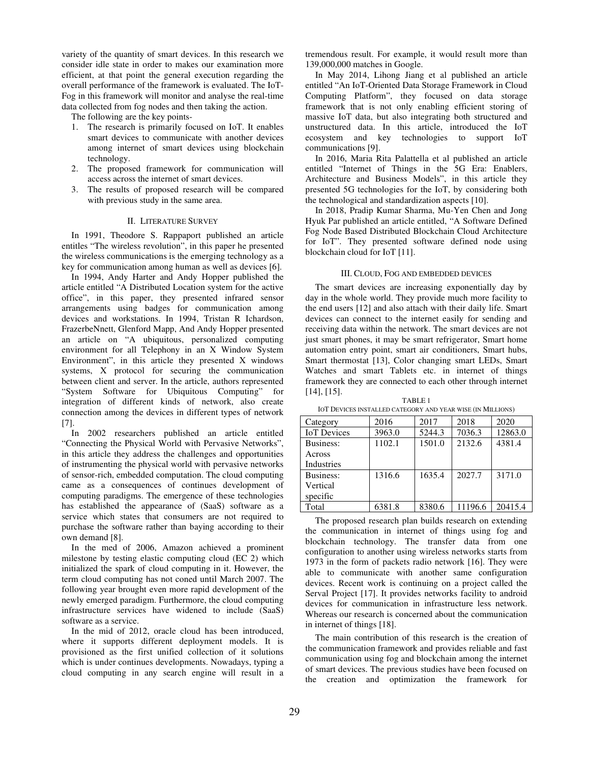variety of the quantity of smart devices. In this research we consider idle state in order to makes our examination more efficient, at that point the general execution regarding the overall performance of the framework is evaluated. The IoT-Fog in this framework will monitor and analyse the real-time data collected from fog nodes and then taking the action.

The following are the key points-

- 1. The research is primarily focused on IoT. It enables smart devices to communicate with another devices among internet of smart devices using blockchain technology.
- 2. The proposed framework for communication will access across the internet of smart devices.
- 3. The results of proposed research will be compared with previous study in the same area.

### II. LITERATURE SURVEY

In 1991, Theodore S. Rappaport published an article entitles "The wireless revolution", in this paper he presented the wireless communications is the emerging technology as a key for communication among human as well as devices [6].

In 1994, Andy Harter and Andy Hopper published the article entitled "A Distributed Location system for the active office", in this paper, they presented infrared sensor arrangements using badges for communication among devices and workstations. In 1994, Tristan R Ichardson, FrazerbeNnett, Glenford Mapp, And Andy Hopper presented an article on "A ubiquitous, personalized computing environment for all Telephony in an X Window System Environment", in this article they presented X windows systems, X protocol for securing the communication between client and server. In the article, authors represented "System Software for Ubiquitous Computing" for integration of different kinds of network, also create connection among the devices in different types of network [7].

In 2002 researchers published an article entitled "Connecting the Physical World with Pervasive Networks", in this article they address the challenges and opportunities of instrumenting the physical world with pervasive networks of sensor-rich, embedded computation. The cloud computing came as a consequences of continues development of computing paradigms. The emergence of these technologies has established the appearance of (SaaS) software as a service which states that consumers are not required to purchase the software rather than baying according to their own demand [8].

In the med of 2006, Amazon achieved a prominent milestone by testing elastic computing cloud (EC 2) which initialized the spark of cloud computing in it. However, the term cloud computing has not coned until March 2007. The following year brought even more rapid development of the newly emerged paradigm. Furthermore, the cloud computing infrastructure services have widened to include (SaaS) software as a service.

In the mid of 2012, oracle cloud has been introduced, where it supports different deployment models. It is provisioned as the first unified collection of it solutions which is under continues developments. Nowadays, typing a cloud computing in any search engine will result in a tremendous result. For example, it would result more than 139,000,000 matches in Google.

In May 2014, Lihong Jiang et al published an article entitled "An IoT-Oriented Data Storage Framework in Cloud Computing Platform", they focused on data storage framework that is not only enabling efficient storing of massive IoT data, but also integrating both structured and unstructured data. In this article, introduced the IoT ecosystem and key technologies to support IoT communications [9].

In 2016, Maria Rita Palattella et al published an article entitled "Internet of Things in the 5G Era: Enablers, Architecture and Business Models", in this article they presented 5G technologies for the IoT, by considering both the technological and standardization aspects [10].

In 2018, Pradip Kumar Sharma, Mu-Yen Chen and Jong Hyuk Par published an article entitled, "A Software Defined Fog Node Based Distributed Blockchain Cloud Architecture for IoT". They presented software defined node using blockchain cloud for IoT [11].

## III. CLOUD, FOG AND EMBEDDED DEVICES

The smart devices are increasing exponentially day by day in the whole world. They provide much more facility to the end users [12] and also attach with their daily life. Smart devices can connect to the internet easily for sending and receiving data within the network. The smart devices are not just smart phones, it may be smart refrigerator, Smart home automation entry point, smart air conditioners, Smart hubs, Smart thermostat [13], Color changing smart LEDs, Smart Watches and smart Tablets etc. in internet of things framework they are connected to each other through internet [14], [15].

TABLE 1 IOT DEVICES INSTALLED CATEGORY AND YEAR WISE (IN MILLIONS)

| Category           | 2016   | 2017   | 2018    | 2020    |
|--------------------|--------|--------|---------|---------|
| <b>IoT</b> Devices | 3963.0 | 5244.3 | 7036.3  | 12863.0 |
| Business:          | 1102.1 | 1501.0 | 2132.6  | 4381.4  |
| Across             |        |        |         |         |
| Industries         |        |        |         |         |
| Business:          | 1316.6 | 1635.4 | 2027.7  | 3171.0  |
| Vertical           |        |        |         |         |
| specific           |        |        |         |         |
| Total              | 6381.8 | 8380.6 | 11196.6 | 20415.4 |

The proposed research plan builds research on extending the communication in internet of things using fog and blockchain technology. The transfer data from one configuration to another using wireless networks starts from 1973 in the form of packets radio network [16]. They were able to communicate with another same configuration devices. Recent work is continuing on a project called the Serval Project [17]. It provides networks facility to android devices for communication in infrastructure less network. Whereas our research is concerned about the communication in internet of things [18].

The main contribution of this research is the creation of the communication framework and provides reliable and fast communication using fog and blockchain among the internet of smart devices. The previous studies have been focused on the creation and optimization the framework for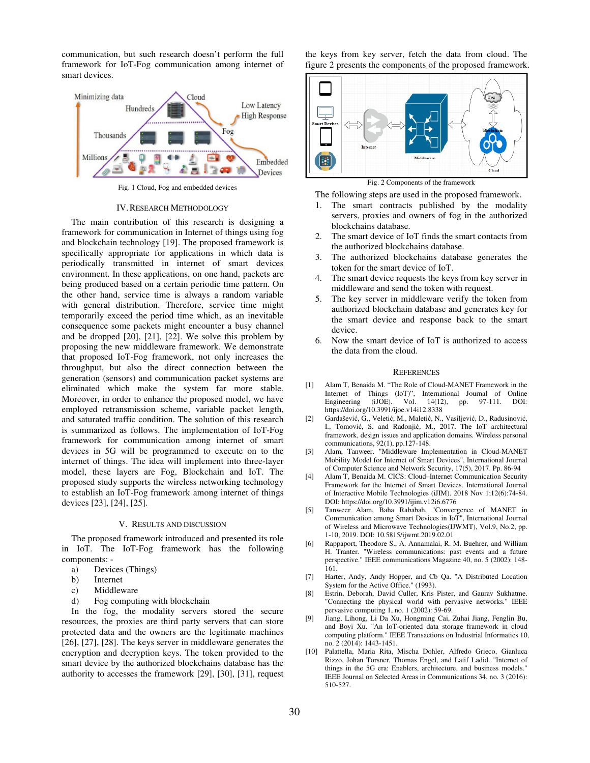communication, but such research doesn't perform the full framework for IoT-Fog communication among internet of smart devices.



Fig. 1 Cloud, Fog and embedded devices

#### IV.RESEARCH METHODOLOGY

The main contribution of this research is designing a framework for communication in Internet of things using fog and blockchain technology [19]. The proposed framework is specifically appropriate for applications in which data is periodically transmitted in internet of smart devices environment. In these applications, on one hand, packets are being produced based on a certain periodic time pattern. On the other hand, service time is always a random variable with general distribution. Therefore, service time might temporarily exceed the period time which, as an inevitable consequence some packets might encounter a busy channel and be dropped [20], [21], [22]. We solve this problem by proposing the new middleware framework. We demonstrate that proposed IoT-Fog framework, not only increases the throughput, but also the direct connection between the generation (sensors) and communication packet systems are eliminated which make the system far more stable. Moreover, in order to enhance the proposed model, we have employed retransmission scheme, variable packet length, and saturated traffic condition. The solution of this research is summarized as follows. The implementation of IoT-Fog framework for communication among internet of smart devices in 5G will be programmed to execute on to the internet of things. The idea will implement into three-layer model, these layers are Fog, Blockchain and IoT. The proposed study supports the wireless networking technology to establish an IoT-Fog framework among internet of things devices [23], [24], [25].

#### V. RESULTS AND DISCUSSION

The proposed framework introduced and presented its role in IoT. The IoT-Fog framework has the following components: -

- a) Devices (Things)
- b) Internet
- c) Middleware
- d) Fog computing with blockchain

In the fog, the modality servers stored the secure resources, the proxies are third party servers that can store protected data and the owners are the legitimate machines [26], [27], [28]. The keys server in middleware generates the encryption and decryption keys. The token provided to the smart device by the authorized blockchains database has the authority to accesses the framework [29], [30], [31], request

the keys from key server, fetch the data from cloud. The figure 2 presents the components of the proposed framework.



Fig. 2 Components of the framework

The following steps are used in the proposed framework.

- 1. The smart contracts published by the modality servers, proxies and owners of fog in the authorized blockchains database.
- 2. The smart device of IoT finds the smart contacts from the authorized blockchains database.
- 3. The authorized blockchains database generates the token for the smart device of IoT.
- 4. The smart device requests the keys from key server in middleware and send the token with request.
- 5. The key server in middleware verify the token from authorized blockchain database and generates key for the smart device and response back to the smart device.
- 6. Now the smart device of IoT is authorized to access the data from the cloud.

#### **REFERENCES**

- [1] Alam T, Benaida M. "The Role of Cloud-MANET Framework in the Internet of Things (IoT)", International Journal of Online<br>Engineering (iJOE). Vol. 14(12), pp. 97-111. DOI: Engineering https://doi.org/10.3991/ijoe.v14i12.8338
- [2] Gardašević, G., Veletić, M., Maletić, N., Vasiljević, D., Radusinović, I., Tomović, S. and Radonjić, M., 2017. The IoT architectural framework, design issues and application domains. Wireless personal communications, 92(1), pp.127-148.
- [3] Alam, Tanweer. "Middleware Implementation in Cloud-MANET Mobility Model for Internet of Smart Devices", International Journal of Computer Science and Network Security, 17(5), 2017. Pp. 86-94
- [4] Alam T, Benaida M. CICS: Cloud–Internet Communication Security Framework for the Internet of Smart Devices. International Journal of Interactive Mobile Technologies (iJIM). 2018 Nov 1;12(6):74-84. DOI: https://doi.org/10.3991/ijim.v12i6.6776
- [5] Tanweer Alam, Baha Rababah, "Convergence of MANET in Communication among Smart Devices in IoT", International Journal of Wireless and Microwave Technologies(IJWMT), Vol.9, No.2, pp. 1-10, 2019. DOI: 10.5815/ijwmt.2019.02.01
- [6] Rappaport, Theodore S., A. Annamalai, R. M. Buehrer, and William H. Tranter. "Wireless communications: past events and a future perspective." IEEE communications Magazine 40, no. 5 (2002): 148- 161.
- [7] Harter, Andy, Andy Hopper, and Cb Qa. "A Distributed Location System for the Active Office." (1993).
- [8] Estrin, Deborah, David Culler, Kris Pister, and Gaurav Sukhatme. "Connecting the physical world with pervasive networks." IEEE pervasive computing 1, no. 1 (2002): 59-69.
- [9] Jiang, Lihong, Li Da Xu, Hongming Cai, Zuhai Jiang, Fenglin Bu, and Boyi Xu. "An IoT-oriented data storage framework in cloud computing platform." IEEE Transactions on Industrial Informatics 10, no. 2 (2014): 1443-1451.
- [10] Palattella, Maria Rita, Mischa Dohler, Alfredo Grieco, Gianluca Rizzo, Johan Torsner, Thomas Engel, and Latif Ladid. "Internet of things in the 5G era: Enablers, architecture, and business models." IEEE Journal on Selected Areas in Communications 34, no. 3 (2016): 510-527.